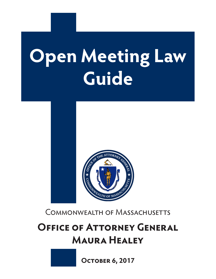# **Open Meeting Law Guide**



Commonwealth of Massachusetts

# **OFFICE OF ATTORNEY GENERAL Maura Healey**

**October 6, 2017**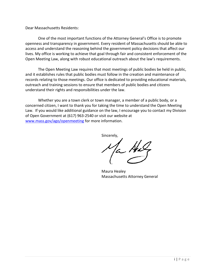Dear Massachusetts Residents:

One of the most important functions of the Attorney General's Office is to promote openness and transparency in government. Every resident of Massachusetts should be able to access and understand the reasoning behind the government policy decisions that affect our lives. My office is working to achieve that goal through fair and consistent enforcement of the Open Meeting Law, along with robust educational outreach about the law's requirements.

The Open Meeting Law requires that most meetings of public bodies be held in public, and it establishes rules that public bodies must follow in the creation and maintenance of records relating to those meetings. Our office is dedicated to providing educational materials, outreach and training sessions to ensure that members of public bodies and citizens understand their rights and responsibilities under the law.

Whether you are a town clerk or town manager, a member of a public body, or a concerned citizen, I want to thank you for taking the time to understand the Open Meeting Law. If you would like additional guidance on the law, I encourage you to contact my Division of Open Government at (617) 963-2540 or visit our website at [www.mass.gov/ago/openmeeting](http://www.mass.gov/ago/openmeeting) for more information.

Sincerely,

la Ha

Maura Healey Massachusetts Attorney General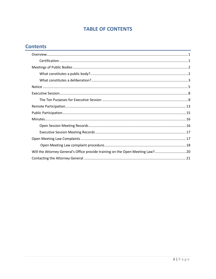# **TABLE OF CONTENTS**

# **Contents**

| Will the Attorney General's Office provide training on the Open Meeting Law? 20 |  |
|---------------------------------------------------------------------------------|--|
|                                                                                 |  |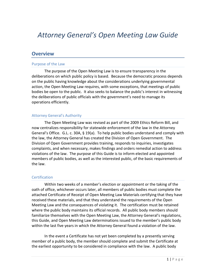# <span id="page-3-0"></span>*Attorney General's Open Meeting Law Guide*

#### **Overview**

#### Purpose of the Law

The purpose of the Open Meeting Law is to ensure transparency in the deliberations on which public policy is based. Because the democratic process depends on the public having knowledge about the considerations underlying governmental action, the Open Meeting Law requires, with some exceptions, that meetings of public bodies be open to the public. It also seeks to balance the public's interest in witnessing the deliberations of public officials with the government's need to manage its operations efficiently.

#### Attorney General's Authority

The Open Meeting Law was revised as part of the 2009 Ethics Reform Bill, and now centralizes responsibility for statewide enforcement of the law in the Attorney General's Office. G.L. c. 30A, § 19(a). To help public bodies understand and comply with the law, the Attorney General has created the Division of Open Government. The Division of Open Government provides training, responds to inquiries, investigates complaints, and when necessary, makes findings and orders remedial action to address violations of the law. The purpose of this Guide is to inform elected and appointed members of public bodies, as well as the interested public, of the basic requirements of the law.

#### <span id="page-3-1"></span>**Certification**

Within two weeks of a member's election or appointment or the taking of the oath of office, whichever occurs later, all members of public bodies must complete the attached Certificate of Receipt of Open Meeting Law Materials certifying that they have received these materials, and that they understand the requirements of the Open Meeting Law and the consequences of violating it. The certification must be retained where the public body maintains its official records. All public body members should familiarize themselves with the Open Meeting Law, the Attorney General's regulations, this Guide, and Open Meeting Law determinations issued to the member's public body within the last five years in which the Attorney General found a violation of the law.

In the event a Certificate has not yet been completed by a presently serving member of a public body, the member should complete and submit the Certificate at the earliest opportunity to be considered in compliance with the law. A public body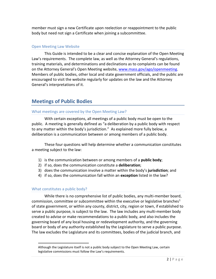member must sign a new Certificate upon reelection or reappointment to the public body but need not sign a Certificate when joining a subcommittee.

#### Open Meeting Law Website

This Guide is intended to be a clear and concise explanation of the Open Meeting Law's requirements. The complete law, as well as the Attorney General's regulations, training materials, and determinations and declinations as to complaints can be found on the Attorney General's Open Meeting website, [www.mass.gov/ago/openmeeting.](http://www.mass.gov/ago/openmeeting) Members of public bodies, other local and state government officials, and the public are encouraged to visit the website regularly for updates on the law and the Attorney General's interpretations of it.

# <span id="page-4-0"></span>**Meetings of Public Bodies**

#### What meetings are covered by the Open Meeting Law?

With certain exceptions, all meetings of a public body must be open to the public. A meeting is generally defined as "a deliberation by a public body with respect to any matter within the body's jurisdiction." As explained more fully below, a deliberation is a communication between or among members of a public body.

These four questions will help determine whether a communication constitutes a meeting subject to the law:

- 1) is the communication between or among members of a **public body**;
- 2) if so, does the communication constitute a **deliberation**;
- 3) does the communication involve a matter within the body's **jurisdiction**; and
- 4) if so, does the communication fall within an **exception** listed in the law?

#### <span id="page-4-1"></span>What constitutes a public body?

 $\overline{\phantom{a}}$ 

While there is no comprehensive list of public bodies, any multi-member board, commission, committee or subcommittee within the executive or legislative branches<sup>[1](#page-4-2)</sup> of state government, or within any county, district, city, region or town, if established to serve a public purpose, is subject to the law. The law includes any multi-member body created to advise or make recommendations to a public body, and also includes the governing board of any local housing or redevelopment authority, and the governing board or body of any authority established by the Legislature to serve a public purpose. The law excludes the Legislature and its committees, bodies of the judicial branch, and

<span id="page-4-2"></span>Although the Legislature itself is not a public body subject to the Open Meeting Law, certain legislative commissions must follow the Law's requirements.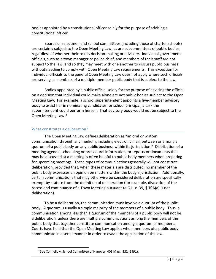bodies appointed by a constitutional officer solely for the purpose of advising a constitutional officer.

Boards of selectmen and school committees (including those of charter schools) are certainly subject to the Open Meeting Law, as are subcommittees of public bodies, regardless of whether their role is decision-making or advisory. Individual government officials, such as a town manager or police chief, and members of their staff are not subject to the law, and so they may meet with one another to discuss public business without needing to comply with Open Meeting Law requirements. This exception for individual officials to the general Open Meeting Law does not apply where such officials are serving as members of a multiple-member public body that is subject to the law.

Bodies appointed by a public official solely for the purpose of advising the official on a decision that individual could make alone are not public bodies subject to the Open Meeting Law. For example, a school superintendent appoints a five-member advisory body to assist her in nominating candidates for school principal, a task the superintendent could perform herself. That advisory body would not be subject to the Open Meeting Law.[2](#page-5-1)

#### <span id="page-5-0"></span>What constitutes a deliberation?

The Open Meeting Law defines deliberation as "an oral or written communication through any medium, including electronic mail, between or among a quorum of a public body on any public business within its jurisdiction." Distribution of a meeting agenda, scheduling or procedural information, or reports or documents that may be discussed at a meeting is often helpful to public body members when preparing for upcoming meetings. These types of communications generally will not constitute deliberation, provided that, when these materials are distributed, no member of the public body expresses an opinion on matters within the body's jurisdiction. Additionally, certain communications that may otherwise be considered deliberation are specifically exempt by statute from the definition of deliberation (for example, discussion of the recess and continuance of a Town Meeting pursuant to G.L. c. 39, § 10A(a) is not deliberation).

To be a deliberation, the communication must involve a quorum of the public body. A quorum is usually a simple majority of the members of a public body. Thus, a communication among less than a quorum of the members of a public body will not be a deliberation, unless there are multiple communications among the members of the public body that together constitute communication among a quorum of members. Courts have held that the Open Meeting Law applies when members of a public body communicate in a serial manner in order to evade the application of the law.

<span id="page-5-1"></span><sup>&</sup>lt;sup>2</sup> See Connelly v. School Committee of Hanover, 409 Mass. 232 (1991).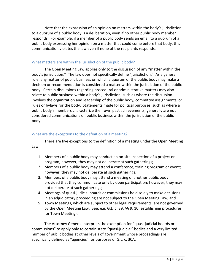Note that the expression of an opinion on matters within the body's jurisdiction to a quorum of a public body is a deliberation, even if no other public body member responds. For example, if a member of a public body sends an email to a quorum of a public body expressing her opinion on a matter that could come before that body, this communication violates the law even if none of the recipients responds.

#### What matters are within the jurisdiction of the public body?

The Open Meeting Law applies only to the discussion of any "matter within the body's jurisdiction." The law does not specifically define "jurisdiction." As a general rule, any matter of public business on which a quorum of the public body may make a decision or recommendation is considered a matter within the jurisdiction of the public body. Certain discussions regarding procedural or administrative matters may also relate to public business within a body's jurisdiction, such as where the discussion involves the organization and leadership of the public body, committee assignments, or rules or bylaws for the body. Statements made for political purposes, such as where a public body's members characterize their own past achievements, generally are not considered communications on public business within the jurisdiction of the public body.

#### What are the exceptions to the definition of a meeting?

There are five exceptions to the definition of a meeting under the Open Meeting Law.

- 1. Members of a public body may conduct an on-site inspection of a project or program; however, they may not deliberate at such gatherings;
- 2. Members of a public body may attend a conference, training program or event; however, they may not deliberate at such gatherings;
- 3. Members of a public body may attend a meeting of another public body provided that they communicate only by open participation; however, they may not deliberate at such gatherings;
- 4. Meetings of quasi-judicial boards or commissions held solely to make decisions in an adjudicatory proceeding are not subject to the Open Meeting Law; and
- 5. Town Meetings, which are subject to other legal requirements, are not governed by the Open Meeting Law. See, e.g. G.L. c. 39, §§ 9, 10 (establishing procedures for Town Meeting).

The Attorney General interprets the exemption for "quasi-judicial boards or commissions" to apply only to certain state "quasi-judicial" bodies and a very limited number of public bodies at other levels of government whose proceedings are specifically defined as "agencies" for purposes of G.L. c. 30A.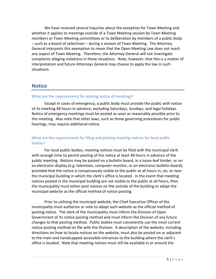We have received several inquiries about the exception for Town Meeting and whether it applies to meetings outside of a Town Meeting session by Town Meeting members or Town Meeting committees or to deliberation by members of a public body – such as a board of selectmen – during a session of Town Meeting. The Attorney General interprets this exemption to mean that the Open Meeting Law does not reach any aspect of Town Meeting. Therefore, the Attorney General will not investigate complaints alleging violations in these situations. Note, however, that this is a matter of interpretation and future Attorneys General may choose to apply the law in such situations.

## <span id="page-7-0"></span>**Notice**

#### What are the requirements for posting notice of meetings?

Except in cases of emergency, a public body must provide the public with notice of its meeting 48 hours in advance, excluding Saturdays, Sundays, and legal holidays. Notice of emergency meetings must be posted as soon as reasonably possible prior to the meeting. Also note that other laws, such as those governing procedures for public hearings, may require additional notice.

#### What are the requirements for filing and posting meeting notices for local public bodies?

For local public bodies, meeting notices must be filed with the municipal clerk with enough time to permit posting of the notice at least 48 hours in advance of the public meeting. Notices may be posted on a bulletin board, in a loose-leaf binder, or on an electronic display (e.g. television, computer monitor, or an electronic bulletin board), provided that the notice is conspicuously visible to the public at all hours in, on, or near the municipal building in which the clerk's office is located. In the event that meeting notices posted in the municipal building are not visible to the public at all hours, then the municipality must either post notices on the outside of the building or adopt the municipal website as the official method of notice posting.

Prior to utilizing the municipal website, the Chief Executive Officer of the municipality must authorize or vote to adopt such website as the official method of posting notice. The clerk of the municipality must inform the Division of Open Government of its notice posting method and must inform the Division of any future changes to that posting method. Public bodies must consistently use the most current notice posting method on file with the Division. A description of the website, including directions on how to locate notices on the website, must also be posted on or adjacent to the main and handicapped accessible entrances to the building where the clerk's office is located. Note that meeting notices must still be available in or around the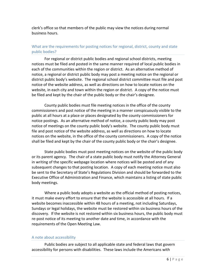clerk's office so that members of the public may view the notices during normal business hours.

#### What are the requirements for posting notices for regional, district, county and state public bodies?

For regional or district public bodies and regional school districts, meeting notices must be filed and posted in the same manner required of local public bodies in each of the communities within the region or district. As an alternative method of notice, a regional or district public body may post a meeting notice on the regional or district public body's website. The regional school district committee must file and post notice of the website address, as well as directions on how to locate notices on the website, in each city and town within the region or district. A copy of the notice must be filed and kept by the chair of the public body or the chair's designee.

County public bodies must file meeting notices in the office of the county commissioners and post notice of the meeting in a manner conspicuously visible to the public at all hours at a place or places designated by the county commissioners for notice postings. As an alternative method of notice, a county public body may post notice of meetings on the county public body's website. The county public body must file and post notice of the website address, as well as directions on how to locate notices on the website, in the office of the county commissioners. A copy of the notice shall be filed and kept by the chair of the county public body or the chair's designee.

State public bodies must post meeting notices on the website of the public body or its parent agency. The chair of a state public body must notify the Attorney General in writing of the specific webpage location where notices will be posted and of any subsequent changes to that posting location. A copy of each meeting notice must also be sent to the Secretary of State's Regulations Division and should be forwarded to the Executive Office of Administration and Finance, which maintains a listing of state public body meetings.

Where a public body adopts a website as the official method of posting notices, it must make every effort to ensure that the website is accessible at all hours. If a website becomes inaccessible within 48 hours of a meeting, not including Saturdays, Sundays or legal holidays, the website must be restored within six business hours of the discovery. If the website is not restored within six business hours, the public body must re-post notice of its meeting to another date and time, in accordance with the requirements of the Open Meeting Law.

#### A note about accessibility

Public bodies are subject to all applicable state and federal laws that govern accessibility for persons with disabilities. These laws include the Americans with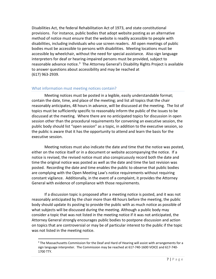Disabilities Act, the federal Rehabilitation Act of 1973, and state constitutional provisions. For instance, public bodies that adopt website posting as an alternative method of notice must ensure that the website is readily accessible to people with disabilities, including individuals who use screen readers. All open meetings of public bodies must be accessible to persons with disabilities. Meeting locations must be accessible by wheelchair, without the need for special assistance. Also sign language interpreters for deaf or hearing-impaired persons must be provided, subject to reasonable advance notice.<sup>[3](#page-9-0)</sup> The Attorney General's Disability Rights Project is available to answer questions about accessibility and may be reached at (617) 963-2939.

#### What information must meeting notices contain?

Meeting notices must be posted in a legible, easily understandable format; contain the date, time, and place of the meeting; and list all topics that the chair reasonably anticipates, 48 hours in advance, will be discussed at the meeting. The list of topics must be sufficiently specific to reasonably inform the public of the issues to be discussed at the meeting. Where there are no anticipated topics for discussion in open session other than the procedural requirements for convening an executive session, the public body should list "open session" as a topic, in addition to the executive session, so the public is aware that it has the opportunity to attend and learn the basis for the executive session.

Meeting notices must also indicate the date and time that the notice was posted, either on the notice itself or in a document or website accompanying the notice. If a notice is revised, the revised notice must also conspicuously record both the date and time the original notice was posted as well as the date and time the last revision was posted. Recording the date and time enables the public to observe that public bodies are complying with the Open Meeting Law's notice requirements without requiring constant vigilance. Additionally, in the event of a complaint, it provides the Attorney General with evidence of compliance with those requirements.

If a discussion topic is proposed after a meeting notice is posted, and it was not reasonably anticipated by the chair more than 48 hours before the meeting, the public body should update its posting to provide the public with as much notice as possible of what subjects will be discussed during the meeting. Although a public body may consider a topic that was not listed in the meeting notice if it was not anticipated, the Attorney General strongly encourages public bodies to postpone discussion and action on topics that are controversial or may be of particular interest to the public if the topic was not listed in the meeting notice.

<span id="page-9-0"></span> $3$  The Massachusetts Commission for the Deaf and Hard of Hearing will assist with arrangements for a sign language interpreter. The Commission may be reached at 617-740-1600 VOICE and 617-740- 1700 TTY.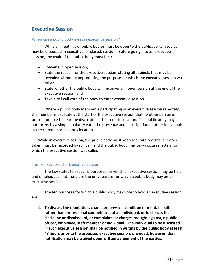# <span id="page-10-0"></span>**Executive Session**

#### When can a public body meet in executive session?

While all meetings of public bodies must be open to the public, certain topics may be discussed in executive, or closed, session. Before going into an executive session, the chair of the public body must first:

- Convene in open session;
- State the reason for the executive session, stating all subjects that may be revealed without compromising the purpose for which the executive session was called;
- State whether the public body will reconvene in open session at the end of the executive session; and
- Take a roll call vote of the body to enter executive session.

Where a public body member is participating in an executive session remotely, the member must state at the start of the executive session that no other person is present or able to hear the discussion at the remote location. The public body may authorize, by a simple majority vote, the presence and participation of other individuals at the remote participant's location.

While in executive session, the public body must keep accurate records, all votes taken must be recorded by roll call, and the public body may only discuss matters for which the executive session was called.

#### <span id="page-10-1"></span>The Ten Purposes for Executive Session

The law states ten specific purposes for which an executive session may be held, and emphasizes that these are the only reasons for which a public body may enter executive session.

The ten purposes for which a public body may vote to hold an executive session are:

**1. To discuss the reputation, character, physical condition or mental health, rather than professional competence, of an individual, or to discuss the discipline or dismissal of, or complaints or charges brought against, a public officer, employee, staff member or individual. The individual to be discussed in such executive session shall be notified in writing by the public body at least 48 hours prior to the proposed executive session; provided, however, that notification may be waived upon written agreement of the parties.**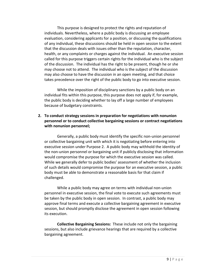This purpose is designed to protect the rights and reputation of individuals. Nevertheless, where a public body is discussing an employee evaluation, considering applicants for a position, or discussing the qualifications of any individual, these discussions should be held in open session to the extent that the discussion deals with issues other than the reputation, character, health, or any complaints or charges against the individual. An executive session called for this purpose triggers certain rights for the individual who is the subject of the discussion. The individual has the right to be present, though he or she may choose not to attend. The individual who is the subject of the discussion may also choose to have the discussion in an open meeting, and that choice takes precedence over the right of the public body to go into executive session.

While the imposition of disciplinary sanctions by a public body on an individual fits within this purpose, this purpose does not apply if, for example, the public body is deciding whether to lay off a large number of employees because of budgetary constraints.

#### **2. To conduct strategy sessions in preparation for negotiations with nonunion personnel or to conduct collective bargaining sessions or contract negotiations with nonunion personnel;**

Generally, a public body must identify the specific non-union personnel or collective bargaining unit with which it is negotiating before entering into executive session under Purpose 2. A public body may withhold the identity of the non-union personnel or bargaining unit if publicly disclosing that information would compromise the purpose for which the executive session was called. While we generally defer to public bodies' assessment of whether the inclusion of such details would compromise the purpose for an executive session, a public body must be able to demonstrate a reasonable basis for that claim if challenged.

While a public body may agree on terms with individual non-union personnel in executive session, the final vote to execute such agreements must be taken by the public body in open session. In contrast, a public body may approve final terms and execute a collective bargaining agreement in executive session, but should promptly disclose the agreement in open session following its execution.

**Collective Bargaining Sessions:** These include not only the bargaining sessions, but also include grievance hearings that are required by a collective bargaining agreement.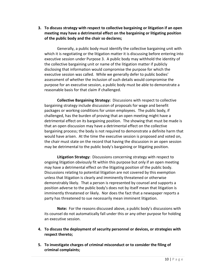**3. To discuss strategy with respect to collective bargaining or litigation if an open meeting may have a detrimental effect on the bargaining or litigating position of the public body and the chair so declares;**

Generally, a public body must identify the collective bargaining unit with which it is negotiating or the litigation matter it is discussing before entering into executive session under Purpose 3. A public body may withhold the identity of the collective bargaining unit or name of the litigation matter if publicly disclosing that information would compromise the purpose for which the executive session was called. While we generally defer to public bodies' assessment of whether the inclusion of such details would compromise the purpose for an executive session, a public body must be able to demonstrate a reasonable basis for that claim if challenged.

**Collective Bargaining Strategy:** Discussions with respect to collective bargaining strategy include discussion of proposals for wage and benefit packages or working conditions for union employees. The public body, if challenged, has the burden of proving that an open meeting might have a detrimental effect on its bargaining position. The showing that must be made is that an open discussion may have a detrimental effect on the collective bargaining process; the body is not required to demonstrate a definite harm that would have arisen. At the time the executive session is proposed and voted on, the chair must state on the record that having the discussion in an open session may be detrimental to the public body's bargaining or litigating position.

**Litigation Strategy:** Discussions concerning strategy with respect to ongoing litigation obviously fit within this purpose but only if an open meeting may have a detrimental effect on the litigating position of the public body. Discussions relating to potential litigation are not covered by this exemption unless that litigation is clearly and imminently threatened or otherwise demonstrably likely. That a person is represented by counsel and supports a position adverse to the public body's does not by itself mean that litigation is imminently threatened or likely. Nor does the fact that a newspaper reports a party has threatened to sue necessarily mean imminent litigation.

**Note:** For the reasons discussed above, a public body's discussions with its counsel do not automatically fall under this or any other purpose for holding an executive session.

- **4. To discuss the deployment of security personnel or devices, or strategies with respect thereto;**
- **5. To investigate charges of criminal misconduct or to consider the filing of criminal complaints;**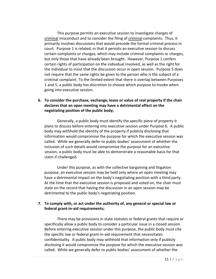This purpose permits an executive session to investigate charges of criminal misconduct and to consider the filing of criminal complaints. Thus, it primarily involves discussions that would precede the formal criminal process in court. Purpose 1 is related, in that it permits an executive session to discuss certain complaints or charges, which may include criminal complaints or charges, but only those that have already been brought. However, Purpose 1 confers certain rights of participation on the individual involved, as well as the right for the individual to insist that the discussion occur in open session. Purpose 5 does not require that the same rights be given to the person who is the subject of a criminal complaint. To the limited extent that there is overlap between Purposes 1 and 5, a public body has discretion to choose which purpose to invoke when going into executive session.

#### **6. To consider the purchase, exchange, lease or value of real property if the chair declares that an open meeting may have a detrimental effect on the negotiating position of the public body;**

Generally, a public body must identify the specific piece of property it plans to discuss before entering into executive session under Purpose 6. A public body may withhold the identity of the property if publicly disclosing that information would compromise the purpose for which the executive session was called. While we generally defer to public bodies' assessment of whether the inclusion of such details would compromise the purpose for an executive session, a public body must be able to demonstrate a reasonable basis for that claim if challenged.

Under this purpose, as with the collective bargaining and litigation purpose, an executive session may be held only where an open meeting may have a detrimental impact on the body's negotiating position with a third party. At the time that the executive session is proposed and voted on, the chair must state on the record that having the discussion in an open session may be detrimental to the public body's negotiating position.

#### **7. To comply with, or act under the authority of, any general or special law or federal grant-in-aid requirements;**

There may be provisions in state statutes or federal grants that require or specifically allow a public body to consider a particular issue in a closed session. Before entering executive session under this purpose, the public body must cite the specific law or federal grant-in-aid requirement that necessitates confidentiality. A public body may withhold that information only if publicly disclosing it would compromise the purpose for which the executive session was called. While we generally defer to public bodies' assessment of whether the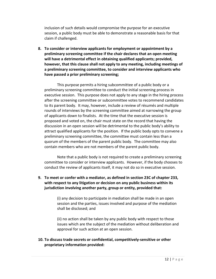inclusion of such details would compromise the purpose for an executive session, a public body must be able to demonstrate a reasonable basis for that claim if challenged.

**8. To consider or interview applicants for employment or appointment by a preliminary screening committee if the chair declares that an open meeting will have a detrimental effect in obtaining qualified applicants; provided, however, that this clause shall not apply to any meeting, including meetings of a preliminary screening committee, to consider and interview applicants who have passed a prior preliminary screening;**

This purpose permits a hiring subcommittee of a public body or a preliminary screening committee to conduct the initial screening process in executive session. This purpose does not apply to any stage in the hiring process after the screening committee or subcommittee votes to recommend candidates to its parent body. It may, however, include a review of résumés and multiple rounds of interviews by the screening committee aimed at narrowing the group of applicants down to finalists. At the time that the executive session is proposed and voted on, the chair must state on the record that having the discussion in an open session will be detrimental to the public body's ability to attract qualified applicants for the position. If the public body opts to convene a preliminary screening committee, the committee must contain less than a quorum of the members of the parent public body. The committee may also contain members who are not members of the parent public body.

Note that a public body is not required to create a preliminary screening committee to consider or interview applicants. However, if the body chooses to conduct the review of applicants itself, it may not do so in executive session.

#### **9. To meet or confer with a mediator, as defined in section 23C of chapter 233, with respect to any litigation or decision on any public business within its jurisdiction involving another party, group or entity, provided that:**

(i) any decision to participate in mediation shall be made in an open session and the parties, issues involved and purpose of the mediation shall be disclosed; and

(ii) no action shall be taken by any public body with respect to those issues which are the subject of the mediation without deliberation and approval for such action at an open session.

#### **10. To discuss trade secrets or confidential, competitively-sensitive or other proprietary information provided:**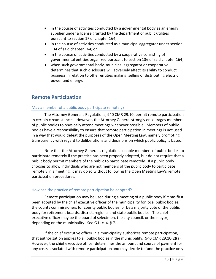- in the course of activities conducted by a governmental body as an energy supplier under a license granted by the department of public utilities pursuant to section 1F of chapter 164;
- in the course of activities conducted as a municipal aggregator under section 134 of said chapter 164; or
- in the course of activities conducted by a cooperative consisting of governmental entities organized pursuant to section 136 of said chapter 164;
- when such governmental body, municipal aggregator or cooperative determines that such disclosure will adversely affect its ability to conduct business in relation to other entities making, selling or distributing electric power and energy.

# <span id="page-15-0"></span>**Remote Participation**

#### May a member of a public body participate remotely?

The Attorney General's Regulations, 940 CMR 29.10, permit remote participation in certain circumstances. However, the Attorney General strongly encourages members of public bodies to physically attend meetings whenever possible. Members of public bodies have a responsibility to ensure that remote participation in meetings is not used in a way that would defeat the purposes of the Open Meeting Law, namely promoting transparency with regard to deliberations and decisions on which public policy is based.

Note that the Attorney General's regulations enable members of public bodies to participate remotely if the practice has been properly adopted, but do not require that a public body permit members of the public to participate remotely. If a public body chooses to allow individuals who are not members of the public body to participate remotely in a meeting, it may do so without following the Open Meeting Law's remote participation procedures.

#### How can the practice of remote participation be adopted?

Remote participation may be used during a meeting of a public body if it has first been adopted by the chief executive officer of the municipality for local public bodies, the county commissioners for county public bodies, or by a majority vote of the public body for retirement boards, district, regional and state public bodies. The chief executive officer may be the board of selectmen, the city council, or the mayor, depending on the municipality. See G.L. c. 4, § 7.

If the chief executive officer in a municipality authorizes remote participation, that authorization applies to all public bodies in the municipality. 940 CMR 29.10(2)(a). However, the chief executive officer determines the amount and source of payment for any costs associated with remote participation and may decide to fund the practice only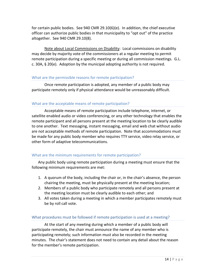for certain public bodies. See 940 CMR 29.10(6)(e). In addition, the chief executive officer can authorize public bodies in that municipality to "opt out" of the practice altogether. See 940 CMR 29.10(8).

Note about Local Commissions on Disability: Local commissions on disability may decide by majority vote of the commissioners at a regular meeting to permit remote participation during a specific meeting or during all commission meetings. G.L. c. 30A, § 20(e). Adoption by the municipal adopting authority is not required.

#### What are the permissible reasons for remote participation?

Once remote participation is adopted, any member of a public body may participate remotely only if physical attendance would be unreasonably difficult.

#### What are the acceptable means of remote participation?

Acceptable means of remote participation include telephone, internet, or satellite enabled audio or video conferencing, or any other technology that enables the remote participant and all persons present at the meeting location to be clearly audible to one another. Text messaging, instant messaging, email and web chat without audio are not acceptable methods of remote participation. Note that accommodations must be made for any public body member who requires TTY service, video relay service, or other form of adaptive telecommunications.

#### What are the minimum requirements for remote participation?

Any public body using remote participation during a meeting must ensure that the following minimum requirements are met:

- 1. A quorum of the body, including the chair or, in the chair's absence, the person chairing the meeting, must be physically present at the meeting location;
- 2. Members of a public body who participate remotely and all persons present at the meeting location must be clearly audible to each other; and
- 3. All votes taken during a meeting in which a member participates remotely must be by roll call vote.

#### What procedures must be followed if remote participation is used at a meeting?

At the start of any meeting during which a member of a public body will participate remotely, the chair must announce the name of any member who is participating remotely; such information must also be recorded in the meeting minutes. The chair's statement does not need to contain any detail about the reason for the member's remote participation.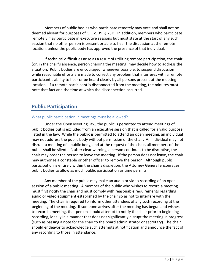Members of public bodies who participate remotely may vote and shall not be deemed absent for purposes of G.L. c. 39, § 23D. In addition, members who participate remotely may participate in executive sessions but must state at the start of any such session that no other person is present or able to hear the discussion at the remote location, unless the public body has approved the presence of that individual.

If technical difficulties arise as a result of utilizing remote participation, the chair (or, in the chair's absence, person chairing the meeting) may decide how to address the situation. Public bodies are encouraged, whenever possible, to suspend discussion while reasonable efforts are made to correct any problem that interferes with a remote participant's ability to hear or be heard clearly by all persons present at the meeting location. If a remote participant is disconnected from the meeting, the minutes must note that fact and the time at which the disconnection occurred.

# <span id="page-17-0"></span>**Public Participation**

#### What public participation in meetings must be allowed?

Under the Open Meeting Law, the public is permitted to attend meetings of public bodies but is excluded from an executive session that is called for a valid purpose listed in the law. While the public is permitted to attend an open meeting, an individual may not address the public body without permission of the chair. An individual may not disrupt a meeting of a public body, and at the request of the chair, all members of the public shall be silent. If, after clear warning, a person continues to be disruptive, the chair may order the person to leave the meeting. If the person does not leave, the chair may authorize a constable or other officer to remove the person. Although public participation is entirely within the chair's discretion, the Attorney General encourages public bodies to allow as much public participation as time permits.

Any member of the public may make an audio or video recording of an open session of a public meeting. A member of the public who wishes to record a meeting must first notify the chair and must comply with reasonable requirements regarding audio or video equipment established by the chair so as not to interfere with the meeting. The chair is required to inform other attendees of any such recording at the beginning of the meeting. If someone arrives after the meeting has begun and wishes to record a meeting, that person should attempt to notify the chair prior to beginning recording, ideally in a manner that does not significantly disrupt the meeting in progress (such as passing a note for the chair to the board administrator or secretary). The chair should endeavor to acknowledge such attempts at notification and announce the fact of any recording to those in attendance.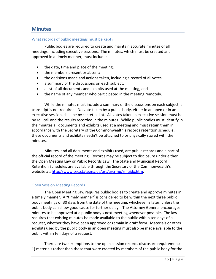### <span id="page-18-0"></span>**Minutes**

#### What records of public meetings must be kept?

Public bodies are required to create and maintain accurate minutes of all meetings, including executive sessions. The minutes, which must be created and approved in a timely manner, must include:

- the date, time and place of the meeting;
- the members present or absent;
- the decisions made and actions taken, including a record of all votes;
- a summary of the discussions on each subject;
- a list of all documents and exhibits used at the meeting; and
- the name of any member who participated in the meeting remotely.

While the minutes must include a summary of the discussions on each subject, a transcript is not required. No vote taken by a public body, either in an open or in an executive session, shall be by secret ballot. All votes taken in executive session must be by roll call and the results recorded in the minutes. While public bodies must identify in the minutes all documents and exhibits used at a meeting and must retain them in accordance with the Secretary of the Commonwealth's records retention schedule, these documents and exhibits needn't be attached to or physically stored with the minutes.

Minutes, and all documents and exhibits used, are public records and a part of the official record of the meeting. Records may be subject to disclosure under either the Open Meeting Law or Public Records Law. The State and Municipal Record Retention Schedules are available through the Secretary of the Commonwealth's website at: [http://www.sec.state.ma.us/arc/arcrmu/rmuidx.htm.](http://www.sec.state.ma.us/arc/arcrmu/rmuidx.htm)

#### <span id="page-18-1"></span>Open Session Meeting Records

The Open Meeting Law requires public bodies to create and approve minutes in a timely manner. A "timely manner" is considered to be within the next three public body meetings or 30 days from the date of the meeting, whichever is later, unless the public body can show good cause for further delay. The Attorney General encourages minutes to be approved at a public body's next meeting whenever possible. The law requires that existing minutes be made available to the public within ten days of a request, whether they have been approved or remain in draft form. Materials or other exhibits used by the public body in an open meeting must also be made available to the public within ten days of a request.

There are two exemptions to the open session records disclosure requirement: 1) materials (other than those that were created by members of the public body for the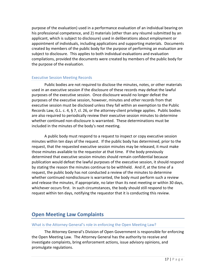purpose of the evaluation) used in a performance evaluation of an individual bearing on his professional competence, and 2) materials (other than any résumé submitted by an applicant, which is subject to disclosure) used in deliberations about employment or appointment of individuals, including applications and supporting materials. Documents created by members of the public body for the purpose of performing an evaluation are subject to disclosure. This applies to both individual evaluations and evaluation compilations, provided the documents were created by members of the public body for the purpose of the evaluation.

#### <span id="page-19-0"></span>Executive Session Meeting Records

Public bodies are not required to disclose the minutes, notes, or other materials used in an executive session if the disclosure of these records may defeat the lawful purposes of the executive session. Once disclosure would no longer defeat the purposes of the executive session, however, minutes and other records from that executive session must be disclosed unless they fall within an exemption to the Public Records Law, G.L. c. 4, § 7, cl. 26, or the attorney-client privilege applies. Public bodies are also required to periodically review their executive session minutes to determine whether continued non-disclosure is warranted. These determinations must be included in the minutes of the body's next meeting.

A public body must respond to a request to inspect or copy executive session minutes within ten days of the request. If the public body has determined, prior to the request, that the requested executive session minutes may be released, it must make those minutes available to the requestor at that time. If the body previously determined that executive session minutes should remain confidential because publication would defeat the lawful purposes of the executive session, it should respond by stating the reason the minutes continue to be withheld. And if, at the time of a request, the public body has not conducted a review of the minutes to determine whether continued nondisclosure is warranted, the body must perform such a review and release the minutes, if appropriate, no later than its next meeting or within 30 days, whichever occurs first. In such circumstances, the body should still respond to the request within ten days, notifying the requestor that it is conducting this review.

# <span id="page-19-1"></span>**Open Meeting Law Complaints**

#### What is the Attorney General's role in enforcing the Open Meeting Law?

The Attorney General's Division of Open Government is responsible for enforcing the Open Meeting Law. The Attorney General has the authority to receive and investigate complaints, bring enforcement actions, issue advisory opinions, and promulgate regulations.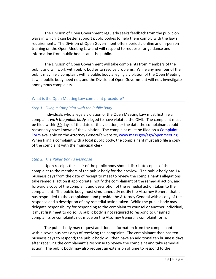The Division of Open Government regularly seeks feedback from the public on ways in which it can better support public bodies to help them comply with the law's requirements. The Division of Open Government offers periodic online and in-person training on the Open Meeting Law and will respond to requests for guidance and information from public bodies and the public.

The Division of Open Government will take complaints from members of the public and will work with public bodies to resolve problems. While any member of the public may file a complaint with a public body alleging a violation of the Open Meeting Law, a public body need not, and the Division of Open Government will not, investigate anonymous complaints.

#### <span id="page-20-0"></span>What is the Open Meeting Law complaint procedure?

#### *Step 1. Filing a Complaint with the Public Body*

Individuals who allege a violation of the Open Meeting Law must first file a complaint *with the public body* alleged to have violated the OML. The complaint must be filed within 30 days of the date of the violation, or the date the complainant could reasonably have known of the violation. The complaint must be filed on a [Complaint](http://www.mass.gov/ago/docs/government/oml/ago-open-meeting-law-complaint-form.pdf)  [Form](http://www.mass.gov/ago/docs/government/oml/ago-open-meeting-law-complaint-form.pdf) available on the Attorney General's website, [www.mass.gov/ago/openmeeting.](http://www.mass.gov/ago/openmeeting) When filing a complaint with a local public body, the complainant must also file a copy of the complaint with the municipal clerk.

#### *Step 2. The Public Body's Response*

Upon receipt, the chair of the public body should distribute copies of the complaint to the members of the public body for their review. The public body has 14 business days from the date of receipt to meet to review the complainant's allegations, take remedial action if appropriate, notify the complainant of the remedial action, and forward a copy of the complaint and description of the remedial action taken to the complainant. The public body must simultaneously notify the Attorney General that it has responded to the complainant and provide the Attorney General with a copy of the response and a description of any remedial action taken. While the public body may delegate responsibility for responding to the complaint to counsel or another individual, it must first meet to do so. A public body is not required to respond to unsigned complaints or complaints not made on the Attorney General's complaint form.

The public body may request additional information from the complainant within seven business days of receiving the complaint. The complainant then has ten business days to respond; the public body will then have an additional ten business days after receiving the complainant's response to review the complaint and take remedial action. The public body may also request an extension of time to respond to the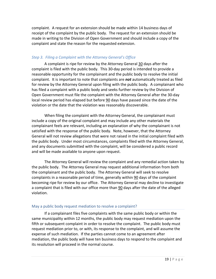complaint. A request for an extension should be made within 14 business days of receipt of the complaint by the public body. The request for an extension should be made in writing to the Division of Open Government and should include a copy of the complaint and state the reason for the requested extension.

#### *Step 3. Filing a Complaint with the Attorney General's Office*

A complaint is ripe for review by the Attorney General 30 days after the complaint is filed with the public body. This 30-day period is intended to provide a reasonable opportunity for the complainant and the public body to resolve the initial complaint. It is important to note that complaints are *not* automatically treated as filed for review by the Attorney General upon filing with the public body. A complainant who has filed a complaint with a public body and seeks further review by the Division of Open Government must file the complaint with the Attorney General after the 30-day local review period has elapsed but before 90 days have passed since the date of the violation or the date that the violation was reasonably discoverable.

When filing the complaint with the Attorney General, the complainant must include a copy of the original complaint and may include any other materials the complainant feels are relevant, including an explanation of why the complainant is not satisfied with the response of the public body. Note, however, that the Attorney General will not review allegations that were not raised in the initial complaint filed with the public body. Under most circumstances, complaints filed with the Attorney General, and any documents submitted with the complaint, will be considered a public record and will be made available to anyone upon request.

The Attorney General will review the complaint and any remedial action taken by the public body. The Attorney General may request additional information from both the complainant and the public body. The Attorney General will seek to resolve complaints in a reasonable period of time, generally within 90 days of the complaint becoming ripe for review by our office. The Attorney General may decline to investigate a complaint that is filed with our office more than 90 days after the date of the alleged violation.

#### May a public body request mediation to resolve a complaint?

If a complainant files five complaints with the same public body or within the same municipality within 12 months, the public body may request mediation upon the fifth or subsequent complaint in order to resolve the complaint. The public body must request mediation prior to, or with, its response to the complaint, and will assume the expense of such mediation. If the parties cannot come to an agreement after mediation, the public body will have ten business days to respond to the complaint and its resolution will proceed in the normal course.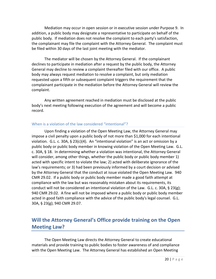Mediation may occur in open session or in executive session under Purpose 9. In addition, a public body may designate a representative to participate on behalf of the public body. If mediation does not resolve the complaint to each party's satisfaction, the complainant may file the complaint with the Attorney General. The complaint must be filed within 30 days of the last joint meeting with the mediator.

The mediator will be chosen by the Attorney General. If the complainant declines to participate in mediation after a request by the public body, the Attorney General may decline to review a complaint thereafter filed with our office. A public body may always request mediation to resolve a complaint, but only mediation requested upon a fifth or subsequent complaint triggers the requirement that the complainant participate in the mediation before the Attorney General will review the complaint.

Any written agreement reached in mediation must be disclosed at the public body's next meeting following execution of the agreement and will become a public record.

#### When is a violation of the law considered "intentional"?

Upon finding a violation of the Open Meeting Law, the Attorney General may impose a civil penalty upon a public body of not more than \$1,000 for each intentional violation. G.L. c. 30A, § 23(c)(4). An "intentional violation" is an act or omission by a public body or public body member in knowing violation of the Open Meeting Law. G.L. c. 30A, § 18. In determining whether a violation was intentional, the Attorney General will consider, among other things, whether the public body or public body member 1) acted with specific intent to violate the law; 2) acted with deliberate ignorance of the law's requirements; or 3) had been previously informed by a court decision or advised by the Attorney General that the conduct at issue violated the Open Meeting Law. 940 CMR 29.02. If a public body or public body member made a good faith attempt at compliance with the law but was reasonably mistaken about its requirements, its conduct will not be considered an intentional violation of the Law. G.L. c. 30A, § 23(g); 940 CMR 29.02. A fine will not be imposed where a public body or public body member acted in good faith compliance with the advice of the public body's legal counsel. G.L. 30A, § 23(g); 940 CMR 29.07.

# <span id="page-22-0"></span>**Will the Attorney General's Office provide training on the Open Meeting Law?**

The Open Meeting Law directs the Attorney General to create educational materials and provide training to public bodies to foster awareness of and compliance with the Open Meeting Law. The Attorney General has established an Open Meeting